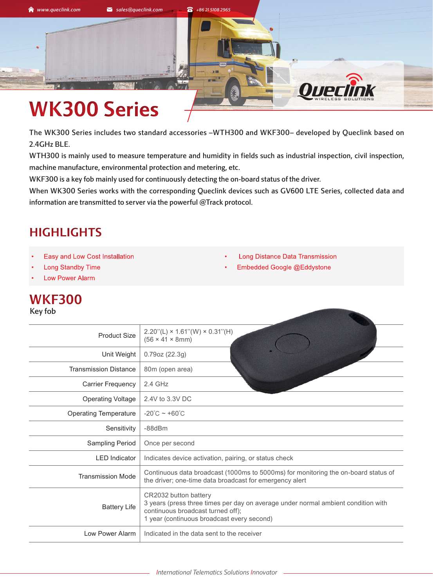

## **WK300 Series**

The WK300 Series includes two standard accessories –WTH300 and WKF300– developed by Queclink based on 2.4GHz BLE.

WTH300 is mainly used to measure temperature and humidity in fields such as industrial inspection, civil inspection, machine manufacture, environmental protection and metering, etc.

WKF300 is a key fob mainly used for continuously detecting the on-board status of the driver.

When WK300 Series works with the corresponding Queclink devices such as GV600 LTE Series, collected data and information are transmitted to server via the powerful @Track protocol.

## **HIGHLIGHTS**

- Easy and Low Cost Installation
- **Long Standby Time**
- **Low Power Alarm**

## **WKF300**

Key fob

|  |  | Long Distance Data Transmission |
|--|--|---------------------------------|
|  |  |                                 |

• Embedded Google @Eddystone

| <b>Product Size</b>          | $2.20$ "(L) × 1.61"(W) × 0.31"(H)<br>$(56 \times 41 \times 8 \text{mm})$                                                                                                                      |
|------------------------------|-----------------------------------------------------------------------------------------------------------------------------------------------------------------------------------------------|
| Unit Weight                  | 0.79oz (22.3g)                                                                                                                                                                                |
| <b>Transmission Distance</b> | 80m (open area)                                                                                                                                                                               |
| <b>Carrier Frequency</b>     | $2.4$ GHz                                                                                                                                                                                     |
| <b>Operating Voltage</b>     | 2.4V to 3.3V DC                                                                                                                                                                               |
| <b>Operating Temperature</b> | $-20^{\circ}$ C ~ +60 $^{\circ}$ C                                                                                                                                                            |
| Sensitivity                  | $-88dBr$                                                                                                                                                                                      |
| Sampling Period              | Once per second                                                                                                                                                                               |
| <b>LED</b> Indicator         | Indicates device activation, pairing, or status check                                                                                                                                         |
| <b>Transmission Mode</b>     | Continuous data broadcast (1000ms to 5000ms) for monitoring the on-board status of<br>the driver; one-time data broadcast for emergency alert                                                 |
| <b>Battery Life</b>          | CR2032 button battery<br>3 years (press three times per day on average under normal ambient condition with<br>continuous broadcast turned off);<br>1 year (continuous broadcast every second) |
| Low Power Alarm              | Indicated in the data sent to the receiver                                                                                                                                                    |